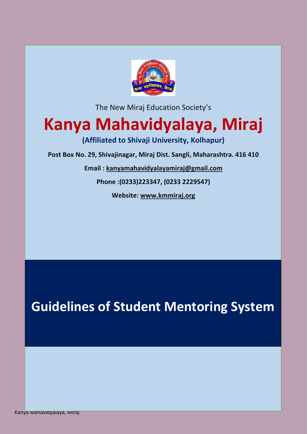

The New Miraj Education Society's

# **Kanya Mahavidyalaya, Miraj**

**(Affiliated to Shivaji University, Kolhapur)**

**Post Box No. 29, Shivajinagar, Miraj Dist. Sangli, Maharashtra. 416 410**

**Email : [kanyamahavidyalayamiraj@gmail.com](mailto:kanyamahavidyalayamiraj@gmail.com)**

**Phone :(0233)223347, (0233 2229547)**

**Website: [www.kmmiraj.org](http://www.kmmiraj.org/)**

**Guidelines of Student Mentoring System**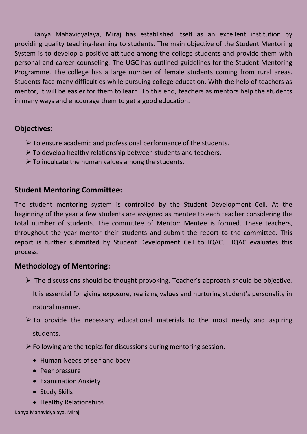Kanya Mahavidyalaya, Miraj has established itself as an excellent institution by providing quality teaching-learning to students. The main objective of the Student Mentoring System is to develop a positive attitude among the college students and provide them with personal and career counseling. The UGC has outlined guidelines for the Student Mentoring Programme. The college has a large number of female students coming from rural areas. Students face many difficulties while pursuing college education. With the help of teachers as mentor, it will be easier for them to learn. To this end, teachers as mentors help the students in many ways and encourage them to get a good education.

## **Objectives:**

- $\triangleright$  To ensure academic and professional performance of the students.
- $\triangleright$  To develop healthy relationship between students and teachers.
- $\triangleright$  To inculcate the human values among the students.

## **Student Mentoring Committee:**

The student mentoring system is controlled by the Student Development Cell. At the beginning of the year a few students are assigned as mentee to each teacher considering the total number of students. The committee of Mentor: Mentee is formed. These teachers, throughout the year mentor their students and submit the report to the committee. This report is further submitted by Student Development Cell to IQAC. IQAC evaluates this process.

# **Methodology of Mentoring:**

- $\triangleright$  The discussions should be thought provoking. Teacher's approach should be objective. It is essential for giving exposure, realizing values and nurturing student's personality in natural manner.
- $\triangleright$  To provide the necessary educational materials to the most needy and aspiring students.
- $\triangleright$  Following are the topics for discussions during mentoring session.
	- Human Needs of self and body
	- Peer pressure
	- Examination Anxiety
	- Study Skills
	- Healthy Relationships

Kanya Mahavidyalaya, Miraj